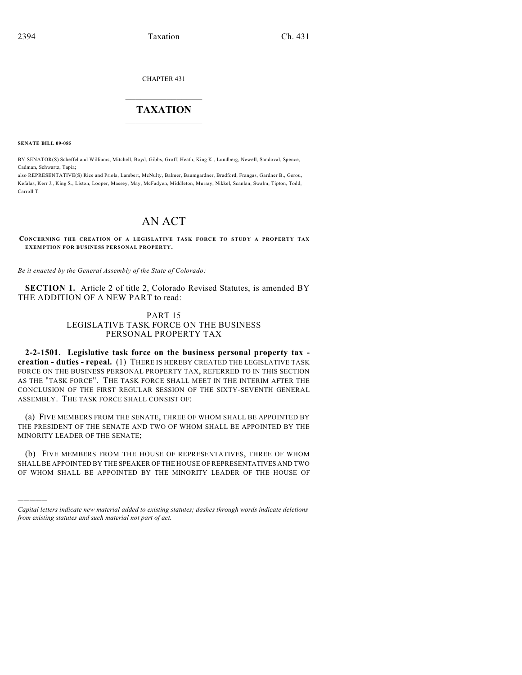CHAPTER 431

## $\overline{\phantom{a}}$  . The set of the set of the set of the set of the set of the set of the set of the set of the set of the set of the set of the set of the set of the set of the set of the set of the set of the set of the set o **TAXATION**  $\_$

**SENATE BILL 09-085**

)))))

BY SENATOR(S) Scheffel and Williams, Mitchell, Boyd, Gibbs, Groff, Heath, King K., Lundberg, Newell, Sandoval, Spence, Cadman, Schwartz, Tapia;

also REPRESENTATIVE(S) Rice and Priola, Lambert, McNulty, Balmer, Baumgardner, Bradford, Frangas, Gardner B., Gerou, Kefalas, Kerr J., King S., Liston, Looper, Massey, May, McFadyen, Middleton, Murray, Nikkel, Scanlan, Swalm, Tipton, Todd, Carroll T.

## AN ACT

**CONCERNING THE CREATION OF A LEGISLATIVE TASK FORCE TO STUDY A PROPERTY TAX EXEMPTION FOR BUSINESS PERSONAL PROPERTY.**

*Be it enacted by the General Assembly of the State of Colorado:*

**SECTION 1.** Article 2 of title 2, Colorado Revised Statutes, is amended BY THE ADDITION OF A NEW PART to read:

## PART 15 LEGISLATIVE TASK FORCE ON THE BUSINESS PERSONAL PROPERTY TAX

**2-2-1501. Legislative task force on the business personal property tax creation - duties - repeal.** (1) THERE IS HEREBY CREATED THE LEGISLATIVE TASK FORCE ON THE BUSINESS PERSONAL PROPERTY TAX, REFERRED TO IN THIS SECTION AS THE "TASK FORCE". THE TASK FORCE SHALL MEET IN THE INTERIM AFTER THE CONCLUSION OF THE FIRST REGULAR SESSION OF THE SIXTY-SEVENTH GENERAL ASSEMBLY. THE TASK FORCE SHALL CONSIST OF:

(a) FIVE MEMBERS FROM THE SENATE, THREE OF WHOM SHALL BE APPOINTED BY THE PRESIDENT OF THE SENATE AND TWO OF WHOM SHALL BE APPOINTED BY THE MINORITY LEADER OF THE SENATE;

(b) FIVE MEMBERS FROM THE HOUSE OF REPRESENTATIVES, THREE OF WHOM SHALL BE APPOINTED BY THE SPEAKER OF THE HOUSE OF REPRESENTATIVES AND TWO OF WHOM SHALL BE APPOINTED BY THE MINORITY LEADER OF THE HOUSE OF

*Capital letters indicate new material added to existing statutes; dashes through words indicate deletions from existing statutes and such material not part of act.*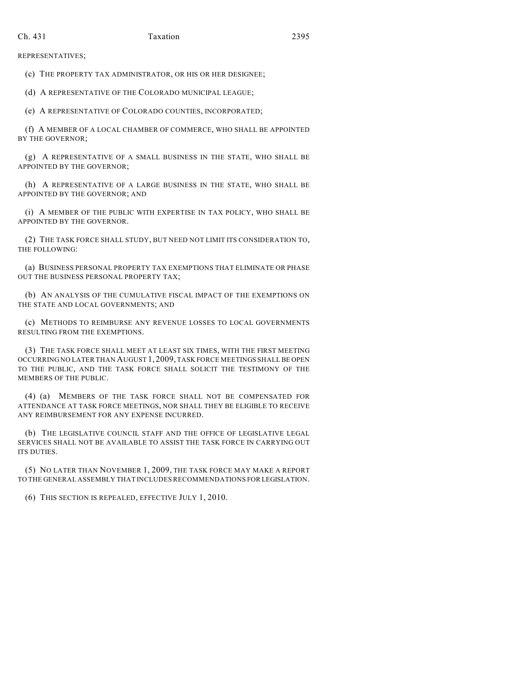REPRESENTATIVES;

(c) THE PROPERTY TAX ADMINISTRATOR, OR HIS OR HER DESIGNEE;

(d) A REPRESENTATIVE OF THE COLORADO MUNICIPAL LEAGUE;

(e) A REPRESENTATIVE OF COLORADO COUNTIES, INCORPORATED;

(f) A MEMBER OF A LOCAL CHAMBER OF COMMERCE, WHO SHALL BE APPOINTED BY THE GOVERNOR;

(g) A REPRESENTATIVE OF A SMALL BUSINESS IN THE STATE, WHO SHALL BE APPOINTED BY THE GOVERNOR;

(h) A REPRESENTATIVE OF A LARGE BUSINESS IN THE STATE, WHO SHALL BE APPOINTED BY THE GOVERNOR; AND

(i) A MEMBER OF THE PUBLIC WITH EXPERTISE IN TAX POLICY, WHO SHALL BE APPOINTED BY THE GOVERNOR.

(2) THE TASK FORCE SHALL STUDY, BUT NEED NOT LIMIT ITS CONSIDERATION TO, THE FOLLOWING:

(a) BUSINESS PERSONAL PROPERTY TAX EXEMPTIONS THAT ELIMINATE OR PHASE OUT THE BUSINESS PERSONAL PROPERTY TAX;

(b) AN ANALYSIS OF THE CUMULATIVE FISCAL IMPACT OF THE EXEMPTIONS ON THE STATE AND LOCAL GOVERNMENTS; AND

(c) METHODS TO REIMBURSE ANY REVENUE LOSSES TO LOCAL GOVERNMENTS RESULTING FROM THE EXEMPTIONS.

(3) THE TASK FORCE SHALL MEET AT LEAST SIX TIMES, WITH THE FIRST MEETING OCCURRING NO LATER THAN AUGUST 1, 2009, TASK FORCE MEETINGS SHALL BE OPEN TO THE PUBLIC, AND THE TASK FORCE SHALL SOLICIT THE TESTIMONY OF THE MEMBERS OF THE PUBLIC.

(4) (a) MEMBERS OF THE TASK FORCE SHALL NOT BE COMPENSATED FOR ATTENDANCE AT TASK FORCE MEETINGS, NOR SHALL THEY BE ELIGIBLE TO RECEIVE ANY REIMBURSEMENT FOR ANY EXPENSE INCURRED.

(b) THE LEGISLATIVE COUNCIL STAFF AND THE OFFICE OF LEGISLATIVE LEGAL SERVICES SHALL NOT BE AVAILABLE TO ASSIST THE TASK FORCE IN CARRYING OUT ITS DUTIES.

(5) NO LATER THAN NOVEMBER 1, 2009, THE TASK FORCE MAY MAKE A REPORT TO THE GENERAL ASSEMBLY THAT INCLUDES RECOMMENDATIONS FOR LEGISLATION.

(6) THIS SECTION IS REPEALED, EFFECTIVE JULY 1, 2010.